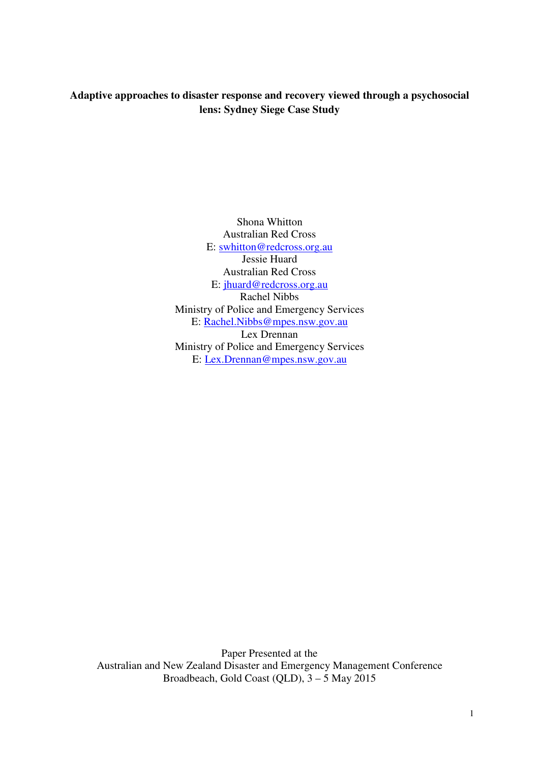# **Adaptive approaches to disaster response and recovery viewed through a psychosocial lens: Sydney Siege Case Study**

Shona Whitton Australian Red Cross E: swhitton@redcross.org.au Jessie Huard Australian Red Cross E: jhuard@redcross.org.au Rachel Nibbs Ministry of Police and Emergency Services E: Rachel.Nibbs@mpes.nsw.gov.au Lex Drennan Ministry of Police and Emergency Services E: Lex.Drennan@mpes.nsw.gov.au

Paper Presented at the Australian and New Zealand Disaster and Emergency Management Conference Broadbeach, Gold Coast (QLD),  $3 - 5$  May 2015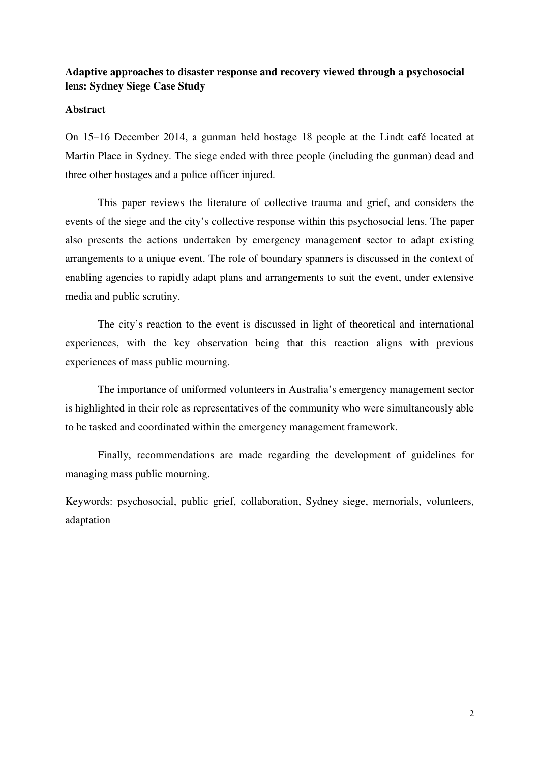## **Adaptive approaches to disaster response and recovery viewed through a psychosocial lens: Sydney Siege Case Study**

### **Abstract**

On 15–16 December 2014, a gunman held hostage 18 people at the Lindt café located at Martin Place in Sydney. The siege ended with three people (including the gunman) dead and three other hostages and a police officer injured.

This paper reviews the literature of collective trauma and grief, and considers the events of the siege and the city's collective response within this psychosocial lens. The paper also presents the actions undertaken by emergency management sector to adapt existing arrangements to a unique event. The role of boundary spanners is discussed in the context of enabling agencies to rapidly adapt plans and arrangements to suit the event, under extensive media and public scrutiny.

The city's reaction to the event is discussed in light of theoretical and international experiences, with the key observation being that this reaction aligns with previous experiences of mass public mourning.

The importance of uniformed volunteers in Australia's emergency management sector is highlighted in their role as representatives of the community who were simultaneously able to be tasked and coordinated within the emergency management framework.

Finally, recommendations are made regarding the development of guidelines for managing mass public mourning.

Keywords: psychosocial, public grief, collaboration, Sydney siege, memorials, volunteers, adaptation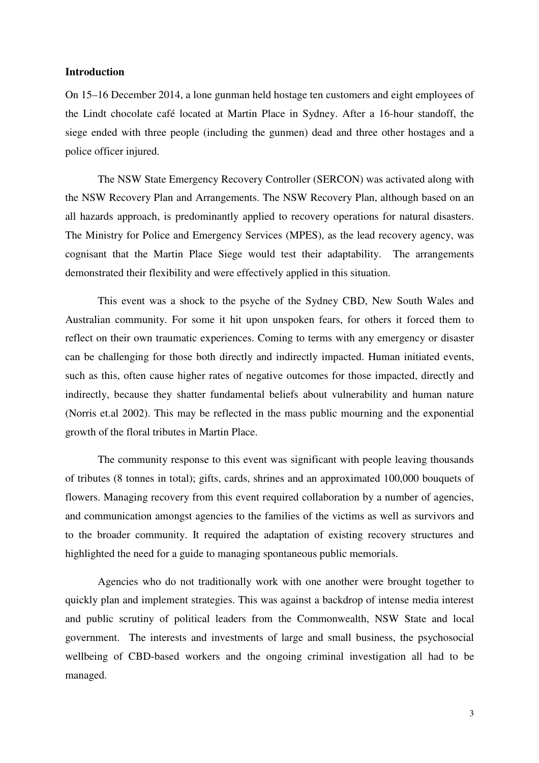#### **Introduction**

On 15–16 December 2014, a lone gunman held hostage ten customers and eight employees of the Lindt chocolate café located at Martin Place in Sydney. After a 16-hour standoff, the siege ended with three people (including the gunmen) dead and three other hostages and a police officer injured.

The NSW State Emergency Recovery Controller (SERCON) was activated along with the NSW Recovery Plan and Arrangements. The NSW Recovery Plan, although based on an all hazards approach, is predominantly applied to recovery operations for natural disasters. The Ministry for Police and Emergency Services (MPES), as the lead recovery agency, was cognisant that the Martin Place Siege would test their adaptability. The arrangements demonstrated their flexibility and were effectively applied in this situation.

This event was a shock to the psyche of the Sydney CBD, New South Wales and Australian community. For some it hit upon unspoken fears, for others it forced them to reflect on their own traumatic experiences. Coming to terms with any emergency or disaster can be challenging for those both directly and indirectly impacted. Human initiated events, such as this, often cause higher rates of negative outcomes for those impacted, directly and indirectly, because they shatter fundamental beliefs about vulnerability and human nature (Norris et.al 2002). This may be reflected in the mass public mourning and the exponential growth of the floral tributes in Martin Place.

The community response to this event was significant with people leaving thousands of tributes (8 tonnes in total); gifts, cards, shrines and an approximated 100,000 bouquets of flowers. Managing recovery from this event required collaboration by a number of agencies, and communication amongst agencies to the families of the victims as well as survivors and to the broader community. It required the adaptation of existing recovery structures and highlighted the need for a guide to managing spontaneous public memorials.

Agencies who do not traditionally work with one another were brought together to quickly plan and implement strategies. This was against a backdrop of intense media interest and public scrutiny of political leaders from the Commonwealth, NSW State and local government. The interests and investments of large and small business, the psychosocial wellbeing of CBD-based workers and the ongoing criminal investigation all had to be managed.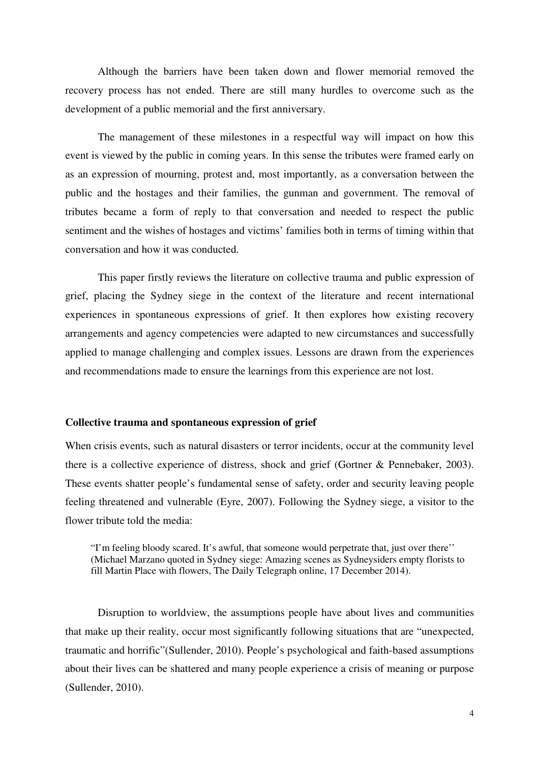Although the barriers have been taken down and flower memorial removed the recovery process has not ended. There are still many hurdles to overcome such as the development of a public memorial and the first anniversary.

The management of these milestones in a respectful way will impact on how this event is viewed by the public in coming years. In this sense the tributes were framed early on as an expression of mourning, protest and, most importantly, as a conversation between the public and the hostages and their families, the gunman and government. The removal of tributes became a form of reply to that conversation and needed to respect the public sentiment and the wishes of hostages and victims' families both in terms of timing within that conversation and how it was conducted.

This paper firstly reviews the literature on collective trauma and public expression of grief, placing the Sydney siege in the context of the literature and recent international experiences in spontaneous expressions of grief. It then explores how existing recovery arrangements and agency competencies were adapted to new circumstances and successfully applied to manage challenging and complex issues. Lessons are drawn from the experiences and recommendations made to ensure the learnings from this experience are not lost.

#### **Collective trauma and spontaneous expression of grief**

When crisis events, such as natural disasters or terror incidents, occur at the community level there is a collective experience of distress, shock and grief (Gortner & Pennebaker, 2003). These events shatter people's fundamental sense of safety, order and security leaving people feeling threatened and vulnerable (Eyre, 2007). Following the Sydney siege, a visitor to the flower tribute told the media:

"I'm feeling bloody scared. It's awful, that someone would perpetrate that, just over there'' (Michael Marzano quoted in Sydney siege: Amazing scenes as Sydneysiders empty florists to fill Martin Place with flowers, The Daily Telegraph online, 17 December 2014).

Disruption to worldview, the assumptions people have about lives and communities that make up their reality, occur most significantly following situations that are "unexpected, traumatic and horrific"(Sullender, 2010). People's psychological and faith-based assumptions about their lives can be shattered and many people experience a crisis of meaning or purpose (Sullender, 2010).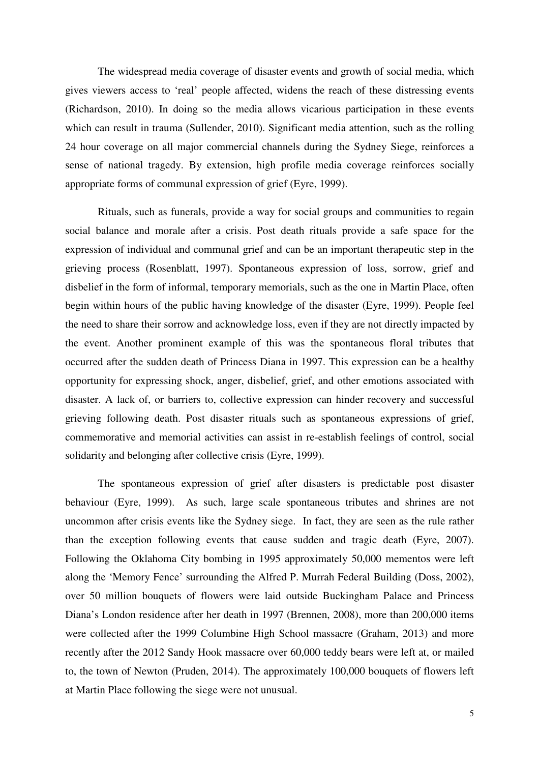The widespread media coverage of disaster events and growth of social media, which gives viewers access to 'real' people affected, widens the reach of these distressing events (Richardson, 2010). In doing so the media allows vicarious participation in these events which can result in trauma (Sullender, 2010). Significant media attention, such as the rolling 24 hour coverage on all major commercial channels during the Sydney Siege, reinforces a sense of national tragedy. By extension, high profile media coverage reinforces socially appropriate forms of communal expression of grief (Eyre, 1999).

Rituals, such as funerals, provide a way for social groups and communities to regain social balance and morale after a crisis. Post death rituals provide a safe space for the expression of individual and communal grief and can be an important therapeutic step in the grieving process (Rosenblatt, 1997). Spontaneous expression of loss, sorrow, grief and disbelief in the form of informal, temporary memorials, such as the one in Martin Place, often begin within hours of the public having knowledge of the disaster (Eyre, 1999). People feel the need to share their sorrow and acknowledge loss, even if they are not directly impacted by the event. Another prominent example of this was the spontaneous floral tributes that occurred after the sudden death of Princess Diana in 1997. This expression can be a healthy opportunity for expressing shock, anger, disbelief, grief, and other emotions associated with disaster. A lack of, or barriers to, collective expression can hinder recovery and successful grieving following death. Post disaster rituals such as spontaneous expressions of grief, commemorative and memorial activities can assist in re-establish feelings of control, social solidarity and belonging after collective crisis (Eyre, 1999).

The spontaneous expression of grief after disasters is predictable post disaster behaviour (Eyre, 1999). As such, large scale spontaneous tributes and shrines are not uncommon after crisis events like the Sydney siege. In fact, they are seen as the rule rather than the exception following events that cause sudden and tragic death (Eyre, 2007). Following the Oklahoma City bombing in 1995 approximately 50,000 mementos were left along the 'Memory Fence' surrounding the Alfred P. Murrah Federal Building (Doss, 2002), over 50 million bouquets of flowers were laid outside Buckingham Palace and Princess Diana's London residence after her death in 1997 (Brennen, 2008), more than 200,000 items were collected after the 1999 Columbine High School massacre (Graham, 2013) and more recently after the 2012 Sandy Hook massacre over 60,000 teddy bears were left at, or mailed to, the town of Newton (Pruden, 2014). The approximately 100,000 bouquets of flowers left at Martin Place following the siege were not unusual.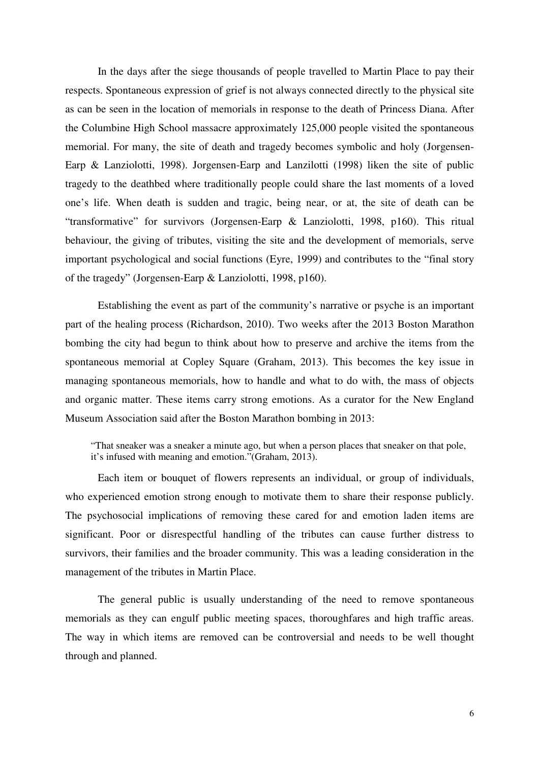In the days after the siege thousands of people travelled to Martin Place to pay their respects. Spontaneous expression of grief is not always connected directly to the physical site as can be seen in the location of memorials in response to the death of Princess Diana. After the Columbine High School massacre approximately 125,000 people visited the spontaneous memorial. For many, the site of death and tragedy becomes symbolic and holy (Jorgensen-Earp & Lanziolotti, 1998). Jorgensen-Earp and Lanzilotti (1998) liken the site of public tragedy to the deathbed where traditionally people could share the last moments of a loved one's life. When death is sudden and tragic, being near, or at, the site of death can be "transformative" for survivors (Jorgensen-Earp & Lanziolotti, 1998, p160). This ritual behaviour, the giving of tributes, visiting the site and the development of memorials, serve important psychological and social functions (Eyre, 1999) and contributes to the "final story of the tragedy" (Jorgensen-Earp & Lanziolotti, 1998, p160).

Establishing the event as part of the community's narrative or psyche is an important part of the healing process (Richardson, 2010). Two weeks after the 2013 Boston Marathon bombing the city had begun to think about how to preserve and archive the items from the spontaneous memorial at Copley Square (Graham, 2013). This becomes the key issue in managing spontaneous memorials, how to handle and what to do with, the mass of objects and organic matter. These items carry strong emotions. As a curator for the New England Museum Association said after the Boston Marathon bombing in 2013:

"That sneaker was a sneaker a minute ago, but when a person places that sneaker on that pole, it's infused with meaning and emotion."(Graham, 2013).

Each item or bouquet of flowers represents an individual, or group of individuals, who experienced emotion strong enough to motivate them to share their response publicly. The psychosocial implications of removing these cared for and emotion laden items are significant. Poor or disrespectful handling of the tributes can cause further distress to survivors, their families and the broader community. This was a leading consideration in the management of the tributes in Martin Place.

The general public is usually understanding of the need to remove spontaneous memorials as they can engulf public meeting spaces, thoroughfares and high traffic areas. The way in which items are removed can be controversial and needs to be well thought through and planned.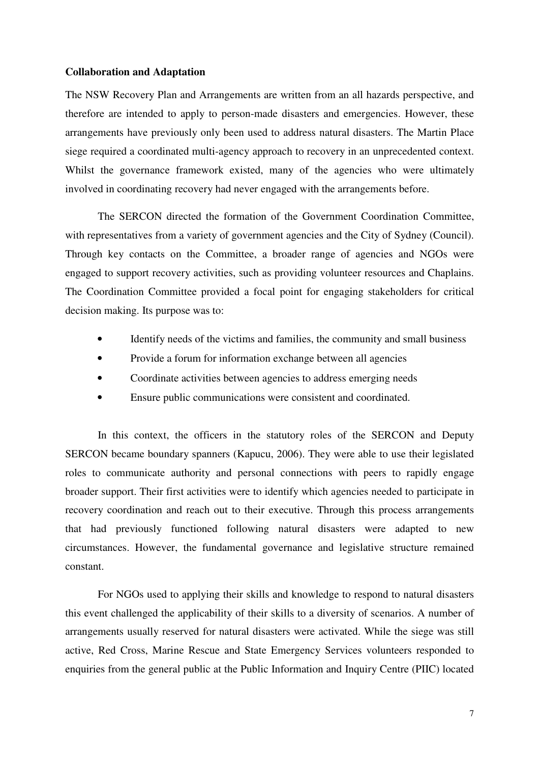#### **Collaboration and Adaptation**

The NSW Recovery Plan and Arrangements are written from an all hazards perspective, and therefore are intended to apply to person-made disasters and emergencies. However, these arrangements have previously only been used to address natural disasters. The Martin Place siege required a coordinated multi-agency approach to recovery in an unprecedented context. Whilst the governance framework existed, many of the agencies who were ultimately involved in coordinating recovery had never engaged with the arrangements before.

The SERCON directed the formation of the Government Coordination Committee, with representatives from a variety of government agencies and the City of Sydney (Council). Through key contacts on the Committee, a broader range of agencies and NGOs were engaged to support recovery activities, such as providing volunteer resources and Chaplains. The Coordination Committee provided a focal point for engaging stakeholders for critical decision making. Its purpose was to:

- Identify needs of the victims and families, the community and small business
- Provide a forum for information exchange between all agencies
- Coordinate activities between agencies to address emerging needs
- Ensure public communications were consistent and coordinated.

In this context, the officers in the statutory roles of the SERCON and Deputy SERCON became boundary spanners (Kapucu, 2006). They were able to use their legislated roles to communicate authority and personal connections with peers to rapidly engage broader support. Their first activities were to identify which agencies needed to participate in recovery coordination and reach out to their executive. Through this process arrangements that had previously functioned following natural disasters were adapted to new circumstances. However, the fundamental governance and legislative structure remained constant.

For NGOs used to applying their skills and knowledge to respond to natural disasters this event challenged the applicability of their skills to a diversity of scenarios. A number of arrangements usually reserved for natural disasters were activated. While the siege was still active, Red Cross, Marine Rescue and State Emergency Services volunteers responded to enquiries from the general public at the Public Information and Inquiry Centre (PIIC) located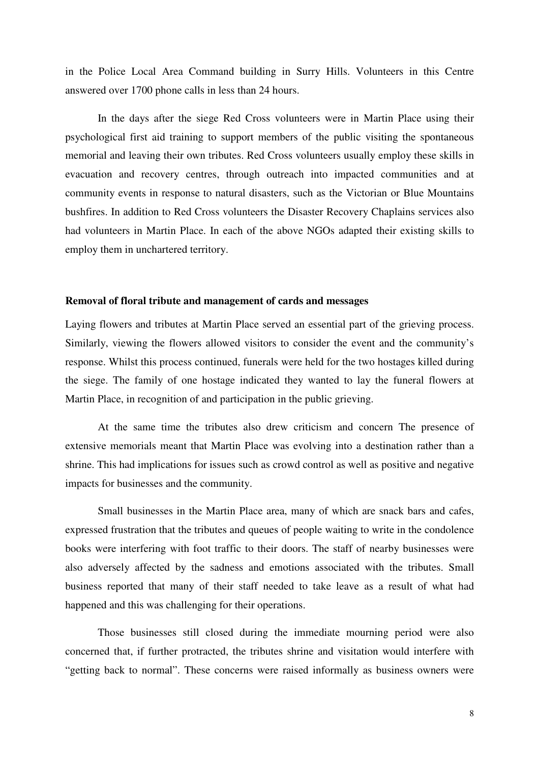in the Police Local Area Command building in Surry Hills. Volunteers in this Centre answered over 1700 phone calls in less than 24 hours.

In the days after the siege Red Cross volunteers were in Martin Place using their psychological first aid training to support members of the public visiting the spontaneous memorial and leaving their own tributes. Red Cross volunteers usually employ these skills in evacuation and recovery centres, through outreach into impacted communities and at community events in response to natural disasters, such as the Victorian or Blue Mountains bushfires. In addition to Red Cross volunteers the Disaster Recovery Chaplains services also had volunteers in Martin Place. In each of the above NGOs adapted their existing skills to employ them in unchartered territory.

#### **Removal of floral tribute and management of cards and messages**

Laying flowers and tributes at Martin Place served an essential part of the grieving process. Similarly, viewing the flowers allowed visitors to consider the event and the community's response. Whilst this process continued, funerals were held for the two hostages killed during the siege. The family of one hostage indicated they wanted to lay the funeral flowers at Martin Place, in recognition of and participation in the public grieving.

At the same time the tributes also drew criticism and concern The presence of extensive memorials meant that Martin Place was evolving into a destination rather than a shrine. This had implications for issues such as crowd control as well as positive and negative impacts for businesses and the community.

Small businesses in the Martin Place area, many of which are snack bars and cafes, expressed frustration that the tributes and queues of people waiting to write in the condolence books were interfering with foot traffic to their doors. The staff of nearby businesses were also adversely affected by the sadness and emotions associated with the tributes. Small business reported that many of their staff needed to take leave as a result of what had happened and this was challenging for their operations.

Those businesses still closed during the immediate mourning period were also concerned that, if further protracted, the tributes shrine and visitation would interfere with "getting back to normal". These concerns were raised informally as business owners were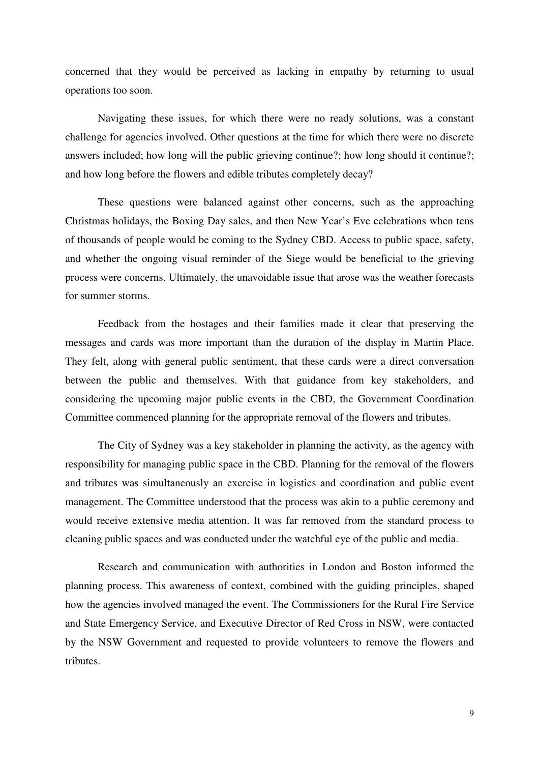concerned that they would be perceived as lacking in empathy by returning to usual operations too soon.

Navigating these issues, for which there were no ready solutions, was a constant challenge for agencies involved. Other questions at the time for which there were no discrete answers included; how long will the public grieving continue?; how long should it continue?; and how long before the flowers and edible tributes completely decay?

These questions were balanced against other concerns, such as the approaching Christmas holidays, the Boxing Day sales, and then New Year's Eve celebrations when tens of thousands of people would be coming to the Sydney CBD. Access to public space, safety, and whether the ongoing visual reminder of the Siege would be beneficial to the grieving process were concerns. Ultimately, the unavoidable issue that arose was the weather forecasts for summer storms.

Feedback from the hostages and their families made it clear that preserving the messages and cards was more important than the duration of the display in Martin Place. They felt, along with general public sentiment, that these cards were a direct conversation between the public and themselves. With that guidance from key stakeholders, and considering the upcoming major public events in the CBD, the Government Coordination Committee commenced planning for the appropriate removal of the flowers and tributes.

The City of Sydney was a key stakeholder in planning the activity, as the agency with responsibility for managing public space in the CBD. Planning for the removal of the flowers and tributes was simultaneously an exercise in logistics and coordination and public event management. The Committee understood that the process was akin to a public ceremony and would receive extensive media attention. It was far removed from the standard process to cleaning public spaces and was conducted under the watchful eye of the public and media.

Research and communication with authorities in London and Boston informed the planning process. This awareness of context, combined with the guiding principles, shaped how the agencies involved managed the event. The Commissioners for the Rural Fire Service and State Emergency Service, and Executive Director of Red Cross in NSW, were contacted by the NSW Government and requested to provide volunteers to remove the flowers and tributes.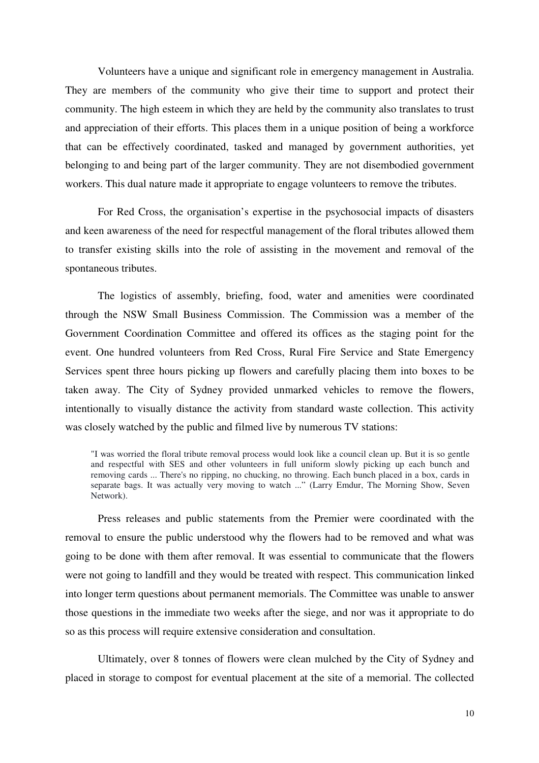Volunteers have a unique and significant role in emergency management in Australia. They are members of the community who give their time to support and protect their community. The high esteem in which they are held by the community also translates to trust and appreciation of their efforts. This places them in a unique position of being a workforce that can be effectively coordinated, tasked and managed by government authorities, yet belonging to and being part of the larger community. They are not disembodied government workers. This dual nature made it appropriate to engage volunteers to remove the tributes.

For Red Cross, the organisation's expertise in the psychosocial impacts of disasters and keen awareness of the need for respectful management of the floral tributes allowed them to transfer existing skills into the role of assisting in the movement and removal of the spontaneous tributes.

The logistics of assembly, briefing, food, water and amenities were coordinated through the NSW Small Business Commission. The Commission was a member of the Government Coordination Committee and offered its offices as the staging point for the event. One hundred volunteers from Red Cross, Rural Fire Service and State Emergency Services spent three hours picking up flowers and carefully placing them into boxes to be taken away. The City of Sydney provided unmarked vehicles to remove the flowers, intentionally to visually distance the activity from standard waste collection. This activity was closely watched by the public and filmed live by numerous TV stations:

"I was worried the floral tribute removal process would look like a council clean up. But it is so gentle and respectful with SES and other volunteers in full uniform slowly picking up each bunch and removing cards ... There's no ripping, no chucking, no throwing. Each bunch placed in a box, cards in separate bags. It was actually very moving to watch ..." (Larry Emdur, The Morning Show, Seven Network).

Press releases and public statements from the Premier were coordinated with the removal to ensure the public understood why the flowers had to be removed and what was going to be done with them after removal. It was essential to communicate that the flowers were not going to landfill and they would be treated with respect. This communication linked into longer term questions about permanent memorials. The Committee was unable to answer those questions in the immediate two weeks after the siege, and nor was it appropriate to do so as this process will require extensive consideration and consultation.

Ultimately, over 8 tonnes of flowers were clean mulched by the City of Sydney and placed in storage to compost for eventual placement at the site of a memorial. The collected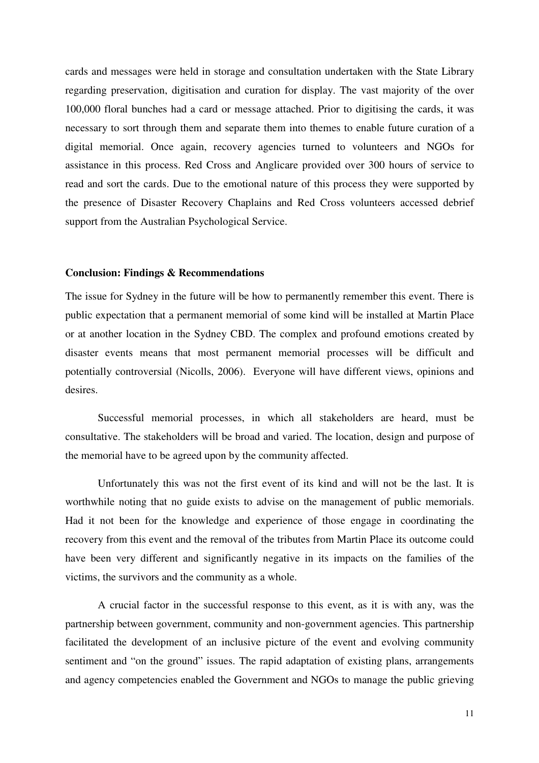cards and messages were held in storage and consultation undertaken with the State Library regarding preservation, digitisation and curation for display. The vast majority of the over 100,000 floral bunches had a card or message attached. Prior to digitising the cards, it was necessary to sort through them and separate them into themes to enable future curation of a digital memorial. Once again, recovery agencies turned to volunteers and NGOs for assistance in this process. Red Cross and Anglicare provided over 300 hours of service to read and sort the cards. Due to the emotional nature of this process they were supported by the presence of Disaster Recovery Chaplains and Red Cross volunteers accessed debrief support from the Australian Psychological Service.

## **Conclusion: Findings & Recommendations**

The issue for Sydney in the future will be how to permanently remember this event. There is public expectation that a permanent memorial of some kind will be installed at Martin Place or at another location in the Sydney CBD. The complex and profound emotions created by disaster events means that most permanent memorial processes will be difficult and potentially controversial (Nicolls, 2006). Everyone will have different views, opinions and desires.

Successful memorial processes, in which all stakeholders are heard, must be consultative. The stakeholders will be broad and varied. The location, design and purpose of the memorial have to be agreed upon by the community affected.

Unfortunately this was not the first event of its kind and will not be the last. It is worthwhile noting that no guide exists to advise on the management of public memorials. Had it not been for the knowledge and experience of those engage in coordinating the recovery from this event and the removal of the tributes from Martin Place its outcome could have been very different and significantly negative in its impacts on the families of the victims, the survivors and the community as a whole.

A crucial factor in the successful response to this event, as it is with any, was the partnership between government, community and non-government agencies. This partnership facilitated the development of an inclusive picture of the event and evolving community sentiment and "on the ground" issues. The rapid adaptation of existing plans, arrangements and agency competencies enabled the Government and NGOs to manage the public grieving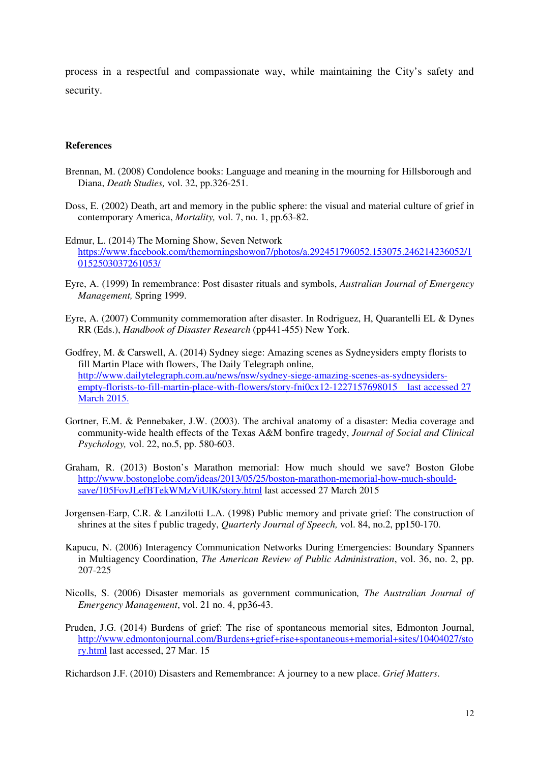process in a respectful and compassionate way, while maintaining the City's safety and security.

#### **References**

- Brennan, M. (2008) Condolence books: Language and meaning in the mourning for Hillsborough and Diana, *Death Studies,* vol. 32, pp.326-251.
- Doss, E. (2002) Death, art and memory in the public sphere: the visual and material culture of grief in contemporary America, *Mortality,* vol. 7, no. 1, pp.63-82.
- Edmur, L. (2014) The Morning Show, Seven Network https://www.facebook.com/themorningshowon7/photos/a.292451796052.153075.246214236052/1 0152503037261053/
- Eyre, A. (1999) In remembrance: Post disaster rituals and symbols, *Australian Journal of Emergency Management,* Spring 1999.
- Eyre, A. (2007) Community commemoration after disaster. In Rodriguez, H, Quarantelli EL & Dynes RR (Eds.), *Handbook of Disaster Research* (pp441-455) New York.
- Godfrey, M. & Carswell, A. (2014) Sydney siege: Amazing scenes as Sydneysiders empty florists to fill Martin Place with flowers, The Daily Telegraph online, http://www.dailytelegraph.com.au/news/nsw/sydney-siege-amazing-scenes-as-sydneysidersempty-florists-to-fill-martin-place-with-flowers/story-fni0cx12-1227157698015 last accessed 27 March 2015.
- Gortner, E.M. & Pennebaker, J.W. (2003). The archival anatomy of a disaster: Media coverage and community-wide health effects of the Texas A&M bonfire tragedy, *Journal of Social and Clinical Psychology,* vol. 22, no.5, pp. 580-603.
- Graham, R. (2013) Boston's Marathon memorial: How much should we save? Boston Globe http://www.bostonglobe.com/ideas/2013/05/25/boston-marathon-memorial-how-much-shouldsave/105FovJLefBTekWMzViUlK/story.html last accessed 27 March 2015
- Jorgensen-Earp, C.R. & Lanzilotti L.A. (1998) Public memory and private grief: The construction of shrines at the sites f public tragedy, *Quarterly Journal of Speech,* vol. 84, no.2, pp150-170.
- Kapucu, N. (2006) Interagency Communication Networks During Emergencies: Boundary Spanners in Multiagency Coordination, *The American Review of Public Administration*, vol. 36, no. 2, pp. 207-225
- Nicolls, S. (2006) Disaster memorials as government communication*, The Australian Journal of Emergency Management*, vol. 21 no. 4, pp36-43.
- Pruden, J.G. (2014) Burdens of grief: The rise of spontaneous memorial sites, Edmonton Journal, http://www.edmontonjournal.com/Burdens+grief+rise+spontaneous+memorial+sites/10404027/sto ry.html last accessed, 27 Mar. 15

Richardson J.F. (2010) Disasters and Remembrance: A journey to a new place. *Grief Matters*.